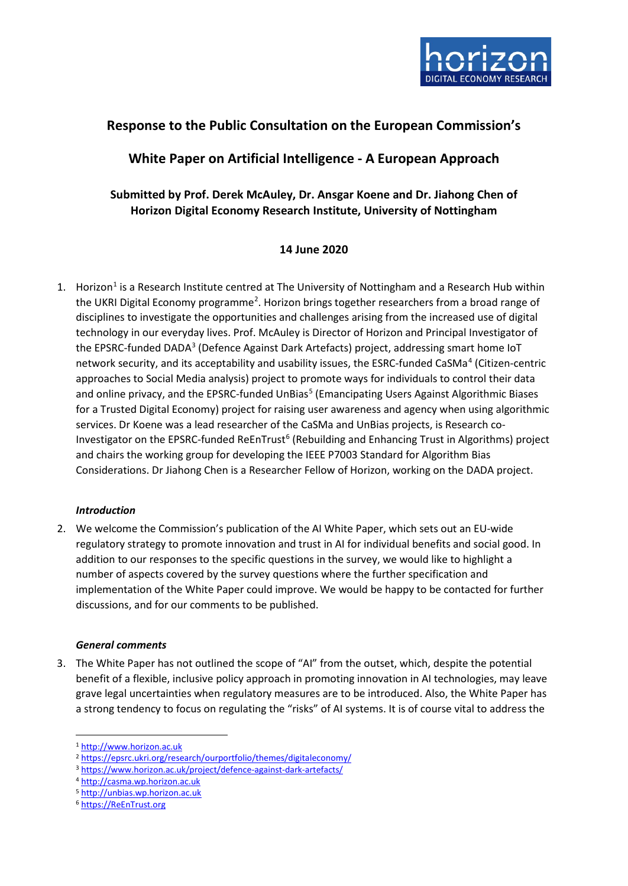

# **Response to the Public Consultation on the European Commission's**

# **White Paper on Artificial Intelligence - A European Approach**

# **Submitted by Prof. Derek McAuley, Dr. Ansgar Koene and Dr. Jiahong Chen of Horizon Digital Economy Research Institute, University of Nottingham**

# **14 June 2020**

1. Horizon<sup>1</sup> is a Research Institute centred at The University of Nottingham and a Research Hub within the UKRI Digital Economy programme<sup>[2](#page-0-1)</sup>. Horizon brings together researchers from a broad range of disciplines to investigate the opportunities and challenges arising from the increased use of digital technology in our everyday lives. Prof. McAuley is Director of Horizon and Principal Investigator of the EPSRC-funded DADA<sup>[3](#page-0-2)</sup> (Defence Against Dark Artefacts) project, addressing smart home IoT network security, and its acceptability and usability issues, the ESRC-funded CaSMa[4](#page-0-3) (Citizen-centric approaches to Social Media analysis) project to promote ways for individuals to control their data and online privacy, and the EPSRC-funded UnBias<sup>[5](#page-0-4)</sup> (Emancipating Users Against Algorithmic Biases for a Trusted Digital Economy) project for raising user awareness and agency when using algorithmic services. Dr Koene was a lead researcher of the CaSMa and UnBias projects, is Research co-Investigator on the EPSRC-funded ReEnTrust<sup>[6](#page-0-5)</sup> (Rebuilding and Enhancing Trust in Algorithms) project and chairs the working group for developing the IEEE P7003 Standard for Algorithm Bias Considerations. Dr Jiahong Chen is a Researcher Fellow of Horizon, working on the DADA project.

## *Introduction*

2. We welcome the Commission's publication of the AI White Paper, which sets out an EU-wide regulatory strategy to promote innovation and trust in AI for individual benefits and social good. In addition to our responses to the specific questions in the survey, we would like to highlight a number of aspects covered by the survey questions where the further specification and implementation of the White Paper could improve. We would be happy to be contacted for further discussions, and for our comments to be published.

## *General comments*

3. The White Paper has not outlined the scope of "AI" from the outset, which, despite the potential benefit of a flexible, inclusive policy approach in promoting innovation in AI technologies, may leave grave legal uncertainties when regulatory measures are to be introduced. Also, the White Paper has a strong tendency to focus on regulating the "risks" of AI systems. It is of course vital to address the

<span id="page-0-0"></span><sup>1</sup> [http://www.horizon.ac.uk](http://www.horizon.ac.uk/)

<span id="page-0-1"></span><sup>2</sup> <https://epsrc.ukri.org/research/ourportfolio/themes/digitaleconomy/>3 <https://www.horizon.ac.uk/project/defence-against-dark-artefacts/>

<span id="page-0-2"></span>

<span id="page-0-3"></span><sup>4</sup> [http://casma.wp.horizon.ac.uk](http://casma.wp.horizon.ac.uk/)

<span id="page-0-4"></span><sup>5</sup> [http://unbias.wp.horizon.ac.uk](http://unbias.wp.horizon.ac.uk/)

<span id="page-0-5"></span><sup>6</sup> [https://ReEnTrust.org](https://reentrust.org/)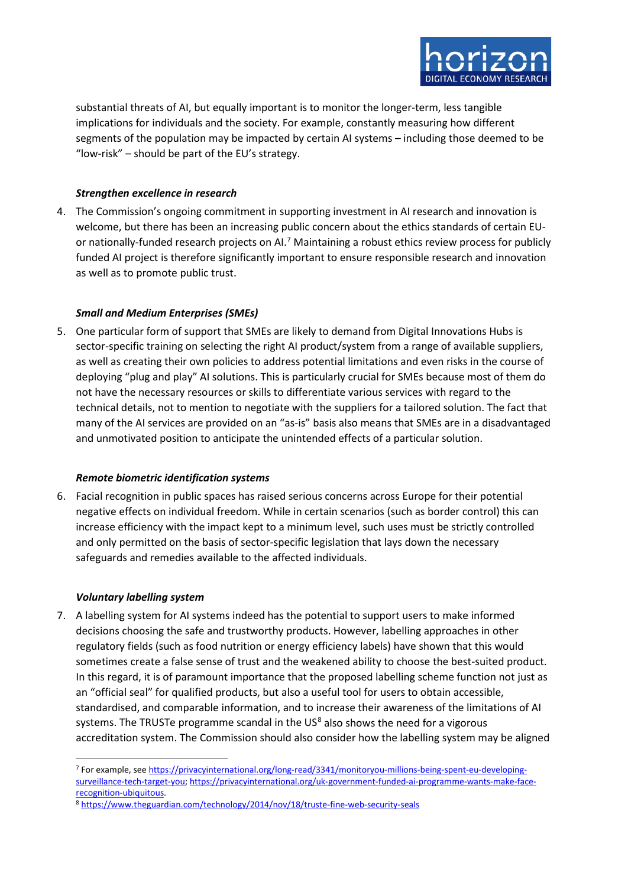

substantial threats of AI, but equally important is to monitor the longer-term, less tangible implications for individuals and the society. For example, constantly measuring how different segments of the population may be impacted by certain AI systems – including those deemed to be "low-risk" – should be part of the EU's strategy.

### *Strengthen excellence in research*

4. The Commission's ongoing commitment in supporting investment in AI research and innovation is welcome, but there has been an increasing public concern about the ethics standards of certain EU-or nationally-funded research projects on AI.<sup>[7](#page-1-0)</sup> Maintaining a robust ethics review process for publicly funded AI project is therefore significantly important to ensure responsible research and innovation as well as to promote public trust.

### *Small and Medium Enterprises (SMEs)*

5. One particular form of support that SMEs are likely to demand from Digital Innovations Hubs is sector-specific training on selecting the right AI product/system from a range of available suppliers, as well as creating their own policies to address potential limitations and even risks in the course of deploying "plug and play" AI solutions. This is particularly crucial for SMEs because most of them do not have the necessary resources or skills to differentiate various services with regard to the technical details, not to mention to negotiate with the suppliers for a tailored solution. The fact that many of the AI services are provided on an "as-is" basis also means that SMEs are in a disadvantaged and unmotivated position to anticipate the unintended effects of a particular solution.

#### *Remote biometric identification systems*

6. Facial recognition in public spaces has raised serious concerns across Europe for their potential negative effects on individual freedom. While in certain scenarios (such as border control) this can increase efficiency with the impact kept to a minimum level, such uses must be strictly controlled and only permitted on the basis of sector-specific legislation that lays down the necessary safeguards and remedies available to the affected individuals.

#### *Voluntary labelling system*

7. A labelling system for AI systems indeed has the potential to support users to make informed decisions choosing the safe and trustworthy products. However, labelling approaches in other regulatory fields (such as food nutrition or energy efficiency labels) have shown that this would sometimes create a false sense of trust and the weakened ability to choose the best-suited product. In this regard, it is of paramount importance that the proposed labelling scheme function not just as an "official seal" for qualified products, but also a useful tool for users to obtain accessible, standardised, and comparable information, and to increase their awareness of the limitations of AI systems. The TRUSTe programme scandal in the  $US<sup>8</sup>$  $US<sup>8</sup>$  $US<sup>8</sup>$  also shows the need for a vigorous accreditation system. The Commission should also consider how the labelling system may be aligned

<span id="page-1-0"></span><sup>7</sup> For example, see [https://privacyinternational.org/long-read/3341/monitoryou-millions-being-spent-eu-developing](https://privacyinternational.org/long-read/3341/monitoryou-millions-being-spent-eu-developing-surveillance-tech-target-you)[surveillance-tech-target-you;](https://privacyinternational.org/long-read/3341/monitoryou-millions-being-spent-eu-developing-surveillance-tech-target-you) [https://privacyinternational.org/uk-government-funded-ai-programme-wants-make-face](https://privacyinternational.org/uk-government-funded-ai-programme-wants-make-face-recognition-ubiquitous)[recognition-ubiquitous.](https://privacyinternational.org/uk-government-funded-ai-programme-wants-make-face-recognition-ubiquitous)

<span id="page-1-1"></span><sup>8</sup> <https://www.theguardian.com/technology/2014/nov/18/truste-fine-web-security-seals>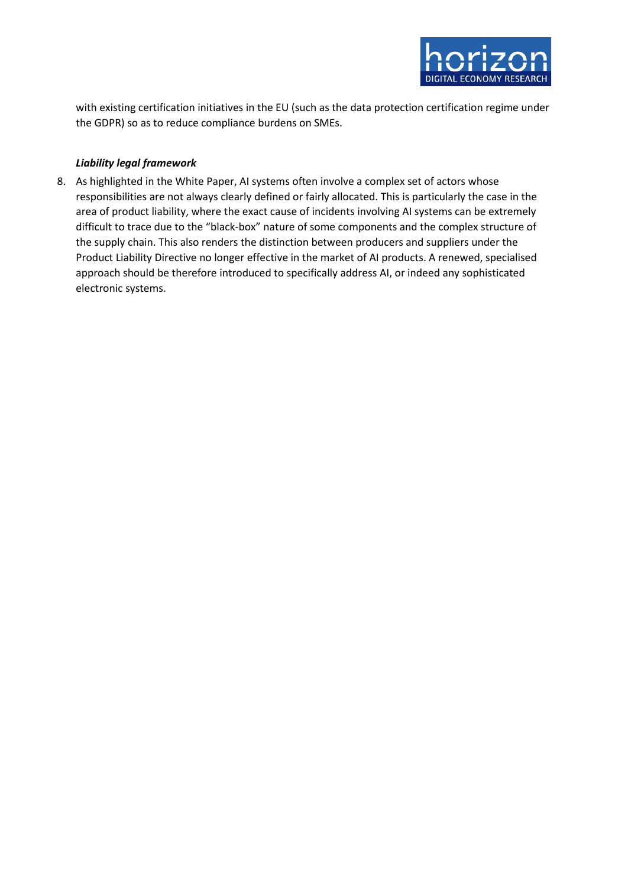

with existing certification initiatives in the EU (such as the data protection certification regime under the GDPR) so as to reduce compliance burdens on SMEs.

## *Liability legal framework*

8. As highlighted in the White Paper, AI systems often involve a complex set of actors whose responsibilities are not always clearly defined or fairly allocated. This is particularly the case in the area of product liability, where the exact cause of incidents involving AI systems can be extremely difficult to trace due to the "black-box" nature of some components and the complex structure of the supply chain. This also renders the distinction between producers and suppliers under the Product Liability Directive no longer effective in the market of AI products. A renewed, specialised approach should be therefore introduced to specifically address AI, or indeed any sophisticated electronic systems.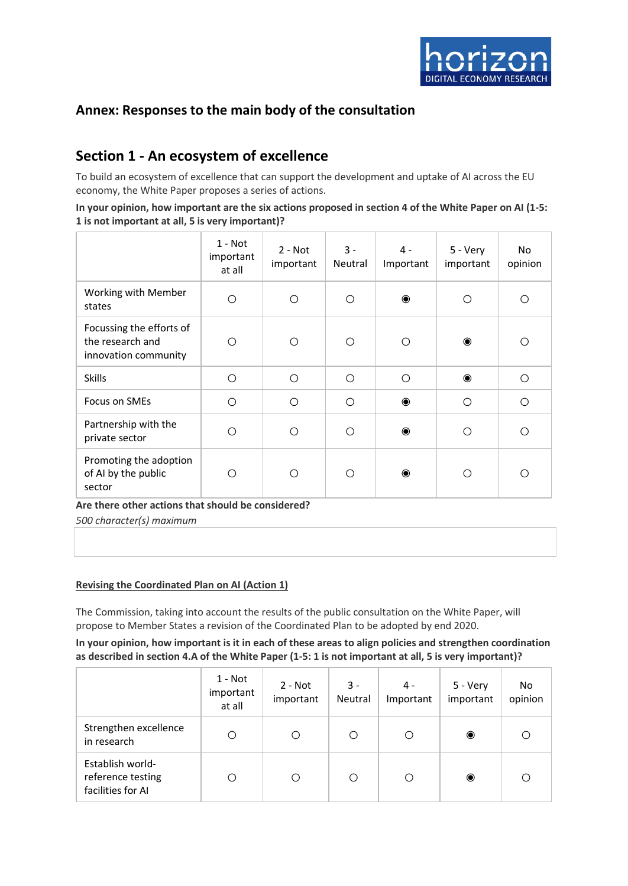

# **Annex: Responses to the main body of the consultation**

# **Section 1 - An ecosystem of excellence**

To build an ecosystem of excellence that can support the development and uptake of AI across the EU economy, the White Paper proposes a series of actions.

#### **In your opinion, how important are the six actions proposed in section 4 of the White Paper on AI (1-5: 1 is not important at all, 5 is very important)?**

|                                                                      | $1 - Not$<br>important<br>at all | $2 - Not$<br>important | $3 -$<br>Neutral | $4 -$<br>Important | 5 - Very<br>important | No<br>opinion |
|----------------------------------------------------------------------|----------------------------------|------------------------|------------------|--------------------|-----------------------|---------------|
| Working with Member<br>states                                        | $\bigcirc$                       | ◯                      | ◯                | $\bullet$          | ∩                     | ◯             |
| Focussing the efforts of<br>the research and<br>innovation community | ◯                                | O                      | ◯                | ◯                  | $\bullet$             | ◯             |
| <b>Skills</b>                                                        | O                                | ◯                      | ◯                | ◯                  | $\bullet$             | $\bigcirc$    |
| Focus on SMEs                                                        | $\circ$                          | O                      | ◯                | $\bullet$          | $\bigcirc$            | $\bigcirc$    |
| Partnership with the<br>private sector                               | Ω                                | Ω                      | ∩                | $\bullet$          | ◯                     | ∩             |
| Promoting the adoption<br>of AI by the public<br>sector              | ∩                                | ∩                      | ∩                | $\odot$            | ∩                     | ∩             |

#### **Are there other actions that should be considered?**

*500 character(s) maximum*

#### **Revising the Coordinated Plan on AI (Action 1)**

The Commission, taking into account the results of the public consultation on the White Paper, will propose to Member States a revision of the Coordinated Plan to be adopted by end 2020.

**In your opinion, how important is it in each of these areas to align policies and strengthen coordination as described in section 4.A of the White Paper (1-5: 1 is not important at all, 5 is very important)?**

|                                                            | 1 - Not<br>important<br>at all | $2 - Not$<br>important | $3 -$<br>Neutral | 4 -<br>Important | 5 - Very<br>important | No<br>opinion |
|------------------------------------------------------------|--------------------------------|------------------------|------------------|------------------|-----------------------|---------------|
| Strengthen excellence<br>in research                       | O                              | С                      | ∩                | O                | $\bullet$             |               |
| Establish world-<br>reference testing<br>facilities for AI | С                              | С                      |                  | O                | $\bullet$             |               |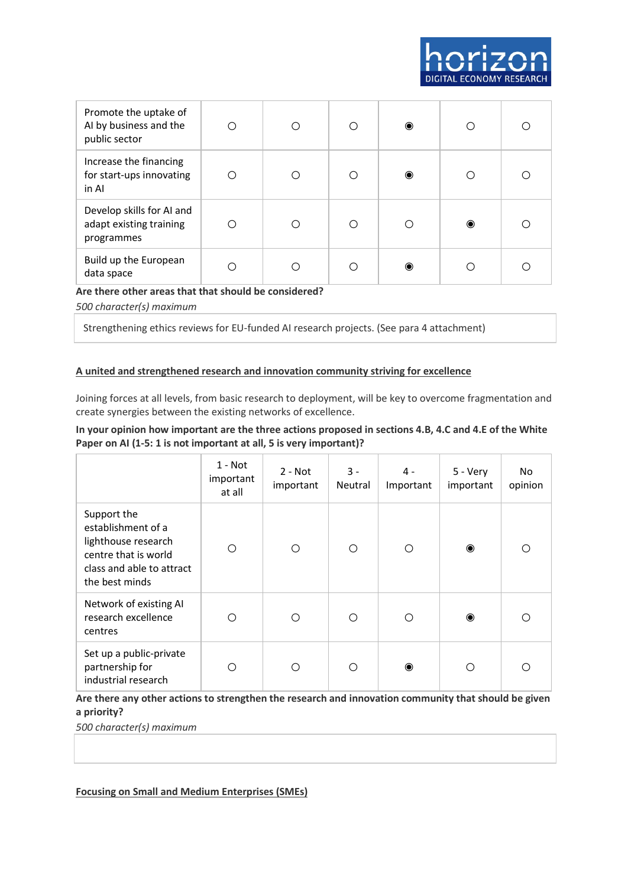| Promote the uptake of<br>AI by business and the<br>public sector   | ∩   | Ω | ∩   | $\bullet$ |           |  |
|--------------------------------------------------------------------|-----|---|-----|-----------|-----------|--|
| Increase the financing<br>for start-ups innovating<br>in Al        | ( ) | Ω | ∩   | $\bullet$ |           |  |
| Develop skills for AI and<br>adapt existing training<br>programmes |     | ∩ | ∩   |           | $\bullet$ |  |
| Build up the European<br>data space                                | ∩   | ∩ | ( ) | ◉         |           |  |

## **Are there other areas that that should be considered?**

*500 character(s) maximum*

Strengthening ethics reviews for EU-funded AI research projects. (See para 4 attachment)

#### **A united and strengthened research and innovation community striving for excellence**

Joining forces at all levels, from basic research to deployment, will be key to overcome fragmentation and create synergies between the existing networks of excellence.

## **In your opinion how important are the three actions proposed in sections 4.B, 4.C and 4.E of the White Paper on AI (1-5: 1 is not important at all, 5 is very important)?**

|                                                                                                                                 | 1 - Not<br>important<br>at all | $2 - Not$<br>important | $3 -$<br>Neutral | 4 -<br>Important | 5 - Very<br>important | No.<br>opinion |
|---------------------------------------------------------------------------------------------------------------------------------|--------------------------------|------------------------|------------------|------------------|-----------------------|----------------|
| Support the<br>establishment of a<br>lighthouse research<br>centre that is world<br>class and able to attract<br>the best minds | O                              | О                      | ◯                | Ο                | $\bullet$             | ∩              |
| Network of existing AI<br>research excellence<br>centres                                                                        | Ω                              | Ω                      | ∩                | Ω                | $\bullet$             | ∩              |
| Set up a public-private<br>partnership for<br>industrial research                                                               | ∩                              | ∩                      | ∩                | $\bullet$        | ∩                     |                |

# **Are there any other actions to strengthen the research and innovation community that should be given a priority?**

*500 character(s) maximum*

#### **Focusing on Small and Medium Enterprises (SMEs)**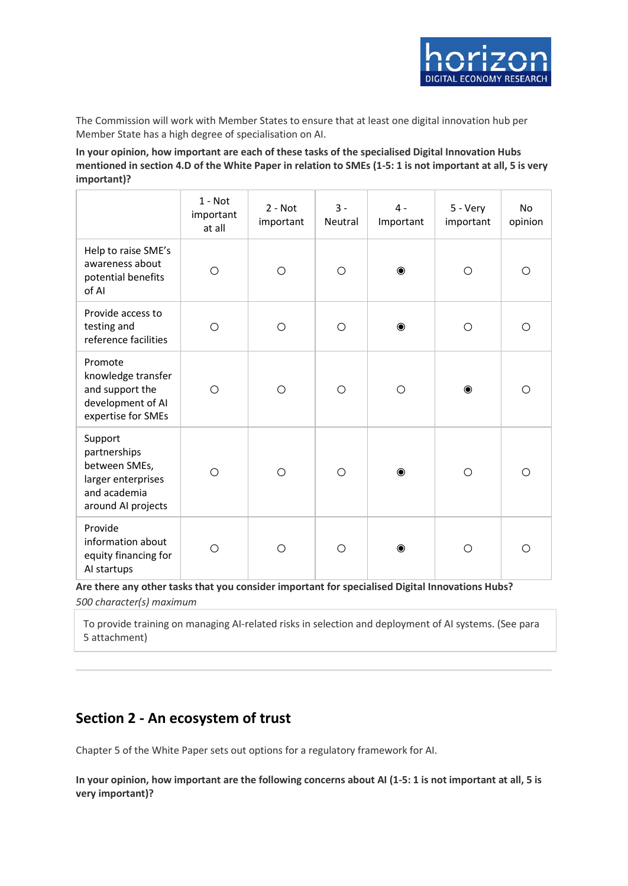The Commission will work with Member States to ensure that at least one digital innovation hub per Member State has a high degree of specialisation on AI.

**In your opinion, how important are each of these tasks of the specialised Digital Innovation Hubs mentioned in section 4.D of the White Paper in relation to SMEs (1-5: 1 is not important at all, 5 is very important)?**

|                                                                                                      | $1 - Not$<br>important<br>at all | $2 - Not$<br>important | $3 -$<br>Neutral | $4 -$<br>Important | 5 - Very<br>important | No<br>opinion |
|------------------------------------------------------------------------------------------------------|----------------------------------|------------------------|------------------|--------------------|-----------------------|---------------|
| Help to raise SME's<br>awareness about<br>potential benefits<br>of AI                                | $\bigcirc$                       | $\circ$                | $\circ$          | $\bullet$          | $\bigcirc$            | O             |
| Provide access to<br>testing and<br>reference facilities                                             | $\circ$                          | $\circ$                | $\circ$          | $\bullet$          | $\circ$               | $\bigcirc$    |
| Promote<br>knowledge transfer<br>and support the<br>development of AI<br>expertise for SMEs          | $\bigcirc$                       | $\circ$                | $\circ$          | $\circ$            | $\bullet$             | $\bigcirc$    |
| Support<br>partnerships<br>between SMEs,<br>larger enterprises<br>and academia<br>around AI projects | O                                | $\circ$                | $\circ$          | $\bullet$          | $\circ$               | ◯             |
| Provide<br>information about<br>equity financing for<br>Al startups                                  | O                                | O                      | $\circ$          | $\bullet$          | O                     | O             |

**Are there any other tasks that you consider important for specialised Digital Innovations Hubs?** *500 character(s) maximum*

To provide training on managing AI-related risks in selection and deployment of AI systems. (See para 5 attachment)

# **Section 2 - An ecosystem of trust**

Chapter 5 of the White Paper sets out options for a regulatory framework for AI.

**In your opinion, how important are the following concerns about AI (1-5: 1 is not important at all, 5 is very important)?**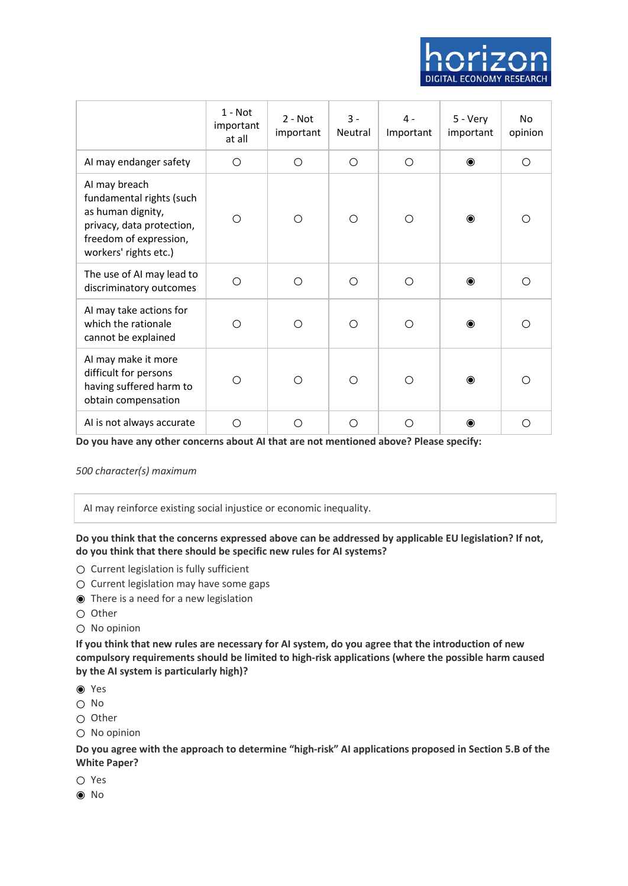

|                                                                                                                                                | $1 - Not$<br>important<br>at all | $2 - Not$<br>important | $3 -$<br>Neutral | 4 -<br>Important | 5 - Very<br>important | No<br>opinion |
|------------------------------------------------------------------------------------------------------------------------------------------------|----------------------------------|------------------------|------------------|------------------|-----------------------|---------------|
| AI may endanger safety                                                                                                                         | O                                | $\circ$                | O                | $\circ$          | $\bullet$             | O             |
| AI may breach<br>fundamental rights (such<br>as human dignity,<br>privacy, data protection,<br>freedom of expression,<br>workers' rights etc.) | ◯                                | $\bigcirc$             | O                | ◯                | ◉                     | Ω             |
| The use of AI may lead to<br>discriminatory outcomes                                                                                           | ◯                                | $\bigcirc$             | $\bigcirc$       | ◯                | $\odot$               | ∩             |
| AI may take actions for<br>which the rationale<br>cannot be explained                                                                          | ∩                                | Ω                      | O                | ◯                | $\bullet$             | ∩             |
| AI may make it more<br>difficult for persons<br>having suffered harm to<br>obtain compensation                                                 | ∩                                | ◯                      | O                | ◯                | $\bullet$             | ∩             |
| AI is not always accurate                                                                                                                      | Ω                                | O                      | O                | Ω                | ◉                     | Ω             |

**Do you have any other concerns about AI that are not mentioned above? Please specify:**

*500 character(s) maximum*

AI may reinforce existing social injustice or economic inequality.

**Do you think that the concerns expressed above can be addressed by applicable EU legislation? If not, do you think that there should be specific new rules for AI systems?**

- Current legislation is fully sufficient
- Current legislation may have some gaps
- ◉ There is a need for a new legislation
- Other
- No opinion

**If you think that new rules are necessary for AI system, do you agree that the introduction of new compulsory requirements should be limited to high-risk applications (where the possible harm caused by the AI system is particularly high)?**

- ◉ Yes
- No
- Other
- No opinion

**Do you agree with the approach to determine "high-risk" AI applications proposed in Section 5.B of the White Paper?**

- Yes
- ◉ No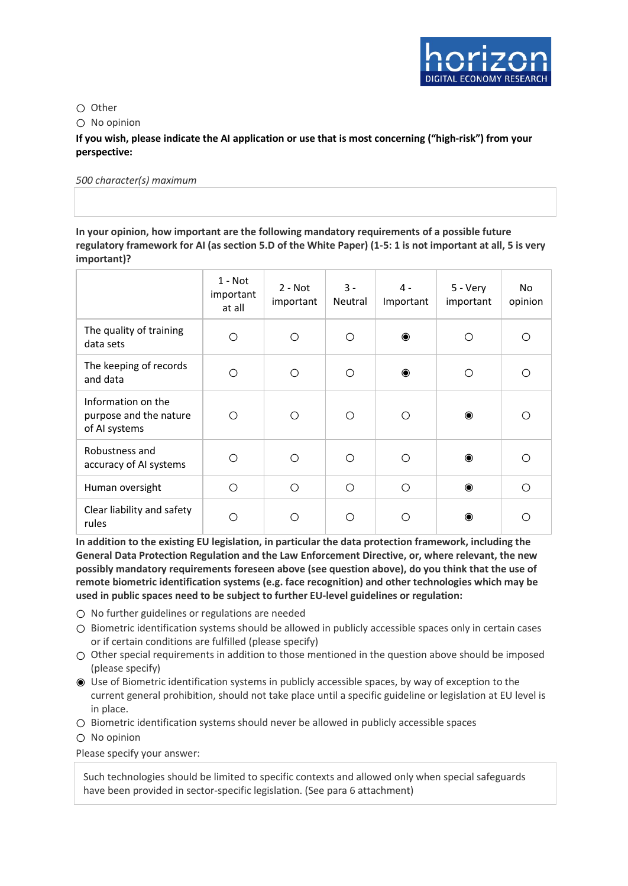

○ Other

 $\bigcap$  No opinion

**If you wish, please indicate the AI application or use that is most concerning ("high-risk") from your perspective:**

*500 character(s) maximum*

**In your opinion, how important are the following mandatory requirements of a possible future regulatory framework for AI (as section 5.D of the White Paper) (1-5: 1 is not important at all, 5 is very important)?**

|                                                               | $1 - Not$<br>important<br>at all | $2 - Not$<br>important | $3 -$<br>Neutral | $4 -$<br>Important | 5 - Very<br>important | No.<br>opinion |
|---------------------------------------------------------------|----------------------------------|------------------------|------------------|--------------------|-----------------------|----------------|
| The quality of training<br>data sets                          | ◯                                | Ω                      | ∩                | $\bullet$          | ∩                     | Ω              |
| The keeping of records<br>and data                            | ∩                                | О                      | ∩                | $\bullet$          | ∩                     | Ω              |
| Information on the<br>purpose and the nature<br>of AI systems | ∩                                | О                      | ∩                | ∩                  | $\bullet$             | ∩              |
| Robustness and<br>accuracy of AI systems                      | ∩                                | Ω                      | ∩                | ∩                  | $\bullet$             | ∩              |
| Human oversight                                               | ◯                                | O                      | ◯                | ∩                  | $\bullet$             | ∩              |
| Clear liability and safety<br>rules                           | ∩                                | ∩                      | ◠                |                    | $\bullet$             |                |

**In addition to the existing EU legislation, in particular the data protection framework, including the General Data Protection Regulation and the Law Enforcement Directive, or, where relevant, the new possibly mandatory requirements foreseen above (see question above), do you think that the use of remote biometric identification systems (e.g. face recognition) and other technologies which may be used in public spaces need to be subject to further EU-level guidelines or regulation:**

- No further guidelines or regulations are needed
- Biometric identification systems should be allowed in publicly accessible spaces only in certain cases or if certain conditions are fulfilled (please specify)
- $\bigcirc$  Other special requirements in addition to those mentioned in the question above should be imposed (please specify)
- ◉ Use of Biometric identification systems in publicly accessible spaces, by way of exception to the current general prohibition, should not take place until a specific guideline or legislation at EU level is in place.
- Biometric identification systems should never be allowed in publicly accessible spaces
- No opinion

Please specify your answer:

Such technologies should be limited to specific contexts and allowed only when special safeguards have been provided in sector-specific legislation. (See para 6 attachment)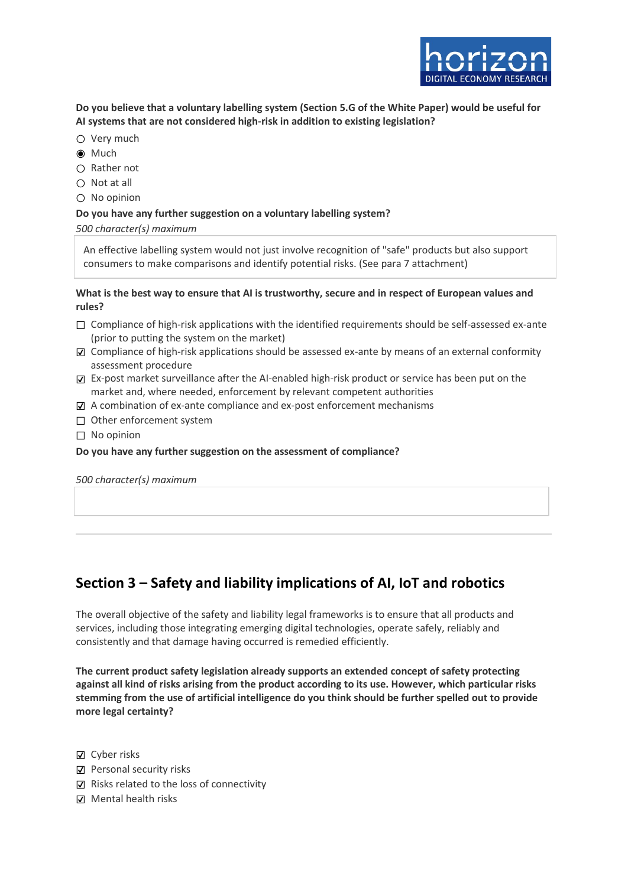

**Do you believe that a voluntary labelling system (Section 5.G of the White Paper) would be useful for AI systems that are not considered high-risk in addition to existing legislation?**

- Very much
- ◉ Much
- Rather not
- $\bigcirc$  Not at all
- No opinion

#### **Do you have any further suggestion on a voluntary labelling system?**

*500 character(s) maximum*

An effective labelling system would not just involve recognition of "safe" products but also support consumers to make comparisons and identify potential risks. (See para 7 attachment)

**What is the best way to ensure that AI is trustworthy, secure and in respect of European values and rules?**

- $\Box$  Compliance of high-risk applications with the identified requirements should be self-assessed ex-ante (prior to putting the system on the market)
- ☑ Compliance of high-risk applications should be assessed ex-ante by means of an external conformity assessment procedure
- ☑ Ex-post market surveillance after the AI-enabled high-risk product or service has been put on the market and, where needed, enforcement by relevant competent authorities
- ☑ A combination of ex-ante compliance and ex-post enforcement mechanisms
- □ Other enforcement system
- ☐ No opinion

#### **Do you have any further suggestion on the assessment of compliance?**

*500 character(s) maximum*

# **Section 3 – Safety and liability implications of AI, IoT and robotics**

The overall objective of the safety and liability legal frameworks is to ensure that all products and services, including those integrating emerging digital technologies, operate safely, reliably and consistently and that damage having occurred is remedied efficiently.

**The current product safety legislation already supports an extended concept of safety protecting against all kind of risks arising from the product according to its use. However, which particular risks stemming from the use of artificial intelligence do you think should be further spelled out to provide more legal certainty?**

☑ Cyber risks

- ☑ Personal security risks
- ☑ Risks related to the loss of connectivity
- ☑ Mental health risks